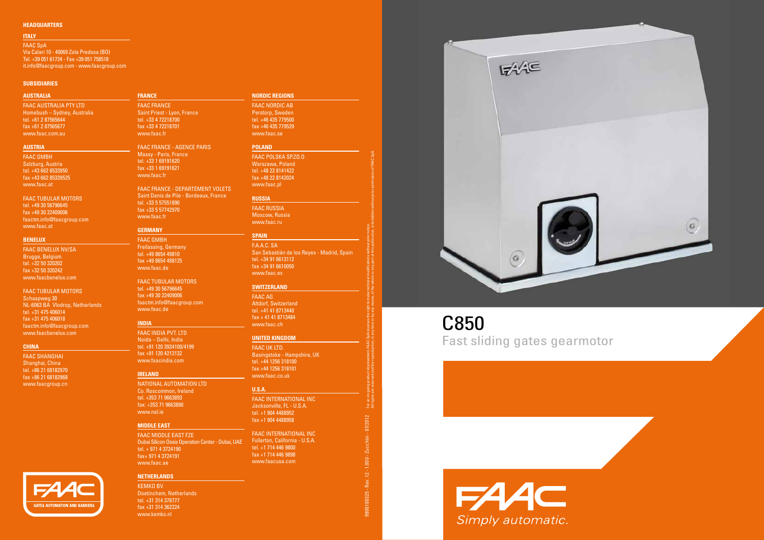#### **SUBSIDIARIES**

#### **HEADQUARTERS**

For an on-going product improvement, FAAC SpA reserves the right to make technical modifications without prior notice.

All rights are reserved and the reproduction, in any form or by any means, of the whole or any part of this publication, is forbidden without prior permission of FAAC SpA.

#### **AUSTRALIA**

FAAC AUSTRALIA PTY LTD Homebush – Sydney, Australia tel. +61 2 87565644 fax +61 2 87565677 www.faac.com.au

#### **AUSTRIA**

faac GMBH Salzburg, Austria tel. +43 662 8533950 fax +43 662 85339525 www.faac.at

FAAC Tubular Motors tel. +49 30 56796645 fax +49 30 22409006 faactm.info@faacgroup.com www.faac.at

#### **BENELUX**

Faac BENELUX NV/SA Brugge, Belgium tel. +32 50 320202 fax +32 50 320242 www.faacbenelux.com

#### FAAC Tubular Motors

Schaapweg 30 NL-6063 BA Vlodrop, Netherlands tel. +31 475 406014 fax +31 475 406018 faactm.info@faacgroup.com www.faacbenelux.com

**GATES AUTOMATION AND BARRIE** 

#### **CHINA**

faac SHANGHAI Shanghai, China tel. +86 21 68182970 fax +86 21 68182968 www.faacgroup.cn



fax +33 4 72218701 www.faac.fr FAAC FRANCE - AGENCE PARIS Massy - Paris, France

tel. +33 1 69191620 fax +33 1 69191621 www.faac.fr

FAAC FRANCE - DEPARTEMENT VOLETS Saint Denis de Pile - Bordeaux, France tel. +33 5 57551890 fax +33 5 57742970 www.faac.fr

#### **GERMANY**

faac GMBH Freilassing, Germany tel. +49 8654 49810 fax +49 8654 498125 www.faac.de

FAAC Tubular Motors tel. +49 30 56796645 fax +49 30 22409006 faactm.info@faacgroup.com www.faac.de

#### **INDIA**

faac INDIA PVT. LTD Noida – Delhi, India tel. +91 120 3934100/4199 fax +91 120 4212132 www.faacindia.com

#### **IRELAND**

National Automation LTD Co. Roscommon, Ireland tel. +353 71 9663893 fax: +353 71 9663890 www.nal.ie

#### **MIDDLE EAST**

FAAC MIDDLE EAST FZE Dubai Silicon Oasis Operation Center - Dubai, UAE tel. + 971 4 3724190 fax+ 971 4 3724191 www.faac.ae

#### **NetherlandS**

KEMKO BV Doetinchem, Netherlands tel. +31 314 378777 fax +31 314 362224 www.kemko.nl

#### **NORDIC REGIONS**

faac NORDIC AB Perstorp, Sweden tel. +46 435 779500 fax +46 435 779529 www.faac.se

#### **POLAND**

Faac POLSKA SP.ZO.O Warszawa, Poland tel. +48 22 8141422 fax +48 22 8142024 www.faac.pl

#### **RUSSIA**

Faac RUSSIA Moscow, Russia www.faac.ru

#### **SPAIN**

f.a.a.c. Sa San Sebastián de los Reyes - Madrid, Spain tel. +34 91 6613112 fax +34 91 6610050 www.faac.es

#### **Switzerland**

Faac AG Altdorf, Switzerland tel. +41 41 8713440 fax + 41 41 8713484 www.faac.ch

#### **UNITED KINGDOM**

faac uk LTD. Basingstoke - Hampshire, UK tel. +44 1256 318100 fax +44 1256 318101 www.faac.co.uk

#### **U.S.A.**

FAAC INTERNATIONAL INC Jacksonville, FL - U.S.A. tel. +1 904 4488952 fax +1 904 4488958

FAAC INTERNATIONAL INC Fullerton, California - U.S.A. tel. +1 714 446 9800 fax +1 714 446 9898 www.faacusa.com



9900100325 - Rev. 12 - 1.000 - Zucchini - 07/2012

Rev.

9900100325

 $1.000 -$ 

For an o<br>All right

 $-07/2012$ 

Zucchini

#### **ITALY**

fAAC SpA Via Calari 10 - 40069 Zola Predosa (BO) Tel. +39 051 61724 - Fax +39 051 758518 it.info@faacgroup.com - www.faacgroup.com

# C850 Fast sliding gates gearmotor